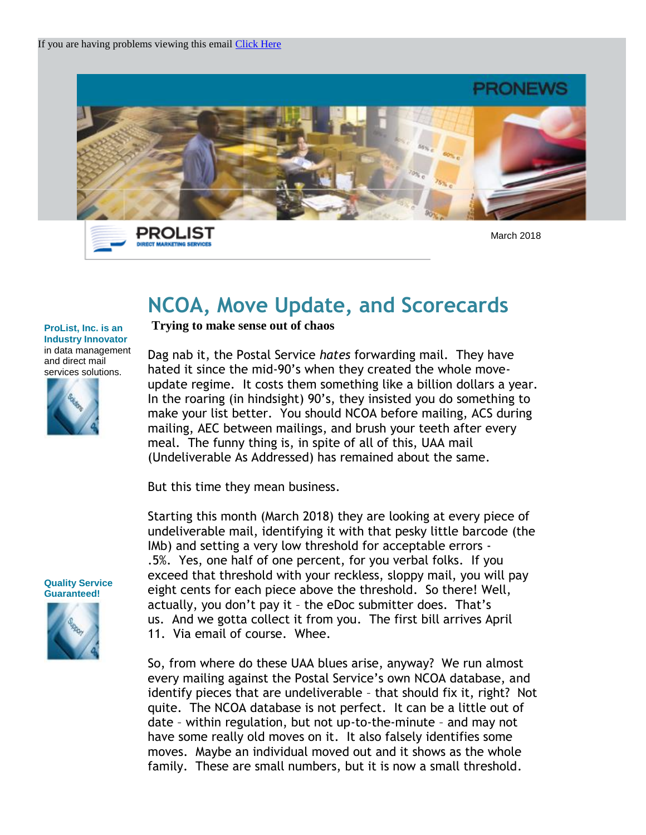



March 2018

## **NCOA, Move Update, and Scorecards**

## **ProList, Inc. is an Industry Innovator** in data management and direct mail services solutions.



**Trying to make sense out of chaos**

Dag nab it, the Postal Service *hates* forwarding mail. They have hated it since the mid-90's when they created the whole moveupdate regime. It costs them something like a billion dollars a year. In the roaring (in hindsight) 90's, they insisted you do something to make your list better. You should NCOA before mailing, ACS during mailing, AEC between mailings, and brush your teeth after every meal. The funny thing is, in spite of all of this, UAA mail (Undeliverable As Addressed) has remained about the same.

But this time they mean business.

Starting this month (March 2018) they are looking at every piece of undeliverable mail, identifying it with that pesky little barcode (the IMb) and setting a very low threshold for acceptable errors - .5%. Yes, one half of one percent, for you verbal folks. If you exceed that threshold with your reckless, sloppy mail, you will pay eight cents for each piece above the threshold. So there! Well, actually, you don't pay it – the eDoc submitter does. That's us. And we gotta collect it from you. The first bill arrives April 11. Via email of course. Whee.

So, from where do these UAA blues arise, anyway? We run almost every mailing against the Postal Service's own NCOA database, and identify pieces that are undeliverable – that should fix it, right? Not quite. The NCOA database is not perfect. It can be a little out of date – within regulation, but not up-to-the-minute – and may not have some really old moves on it. It also falsely identifies some moves. Maybe an individual moved out and it shows as the whole family. These are small numbers, but it is now a small threshold.

**Quality Service Guaranteed!** 

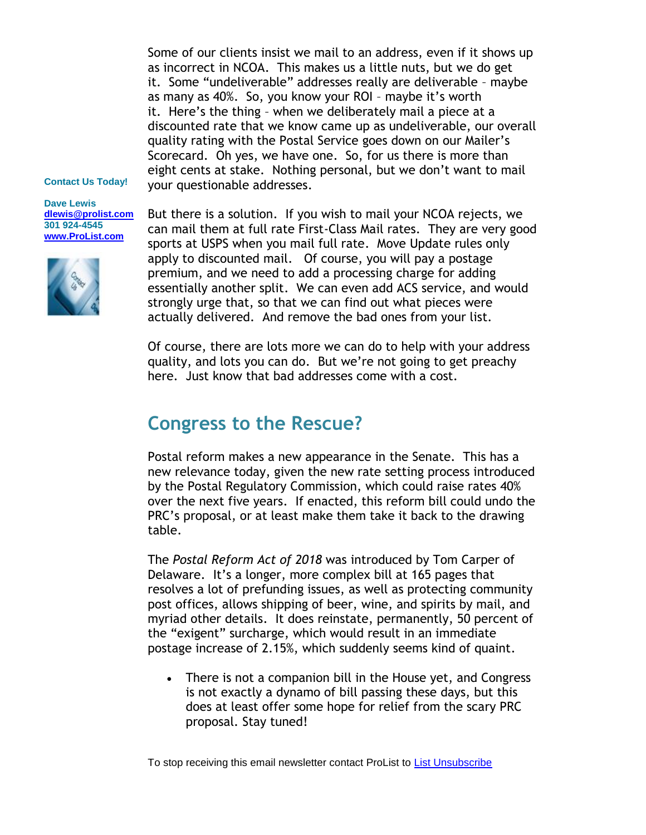Some of our clients insist we mail to an address, even if it shows up as incorrect in NCOA. This makes us a little nuts, but we do get it. Some "undeliverable" addresses really are deliverable – maybe as many as 40%. So, you know your ROI – maybe it's worth it. Here's the thing – when we deliberately mail a piece at a discounted rate that we know came up as undeliverable, our overall quality rating with the Postal Service goes down on our Mailer's Scorecard. Oh yes, we have one. So, for us there is more than eight cents at stake. Nothing personal, but we don't want to mail your questionable addresses.

## **Contact Us Today!**

**Dave Lewis [dlewis@prolist.com](mailto:dlewis@prolist.com) 301 924-4545 [www.ProList.com](http://trk.publicaster.com/click/c2f1-ujoiw-gvrhvt-73hxzcz6/)**



But there is a solution. If you wish to mail your NCOA rejects, we can mail them at full rate First-Class Mail rates. They are very good sports at USPS when you mail full rate. Move Update rules only apply to discounted mail. Of course, you will pay a postage premium, and we need to add a processing charge for adding essentially another split. We can even add ACS service, and would strongly urge that, so that we can find out what pieces were actually delivered. And remove the bad ones from your list.

Of course, there are lots more we can do to help with your address quality, and lots you can do. But we're not going to get preachy here. Just know that bad addresses come with a cost.

## **Congress to the Rescue?**

Postal reform makes a new appearance in the Senate. This has a new relevance today, given the new rate setting process introduced by the Postal Regulatory Commission, which could raise rates 40% over the next five years. If enacted, this reform bill could undo the PRC's proposal, or at least make them take it back to the drawing table.

The *Postal Reform Act of 2018* was introduced by Tom Carper of Delaware. It's a longer, more complex bill at 165 pages that resolves a lot of prefunding issues, as well as protecting community post offices, allows shipping of beer, wine, and spirits by mail, and myriad other details. It does reinstate, permanently, 50 percent of the "exigent" surcharge, which would result in an immediate postage increase of 2.15%, which suddenly seems kind of quaint.

• There is not a companion bill in the House yet, and Congress is not exactly a dynamo of bill passing these days, but this does at least offer some hope for relief from the scary PRC proposal. Stay tuned!

To stop receiving this email newsletter contact ProList to [List Unsubscribe](http://trk.publicaster.com/form?ujoiw--rq16-73hxzcz8&sl=22b&t=5&ac=c2f1)